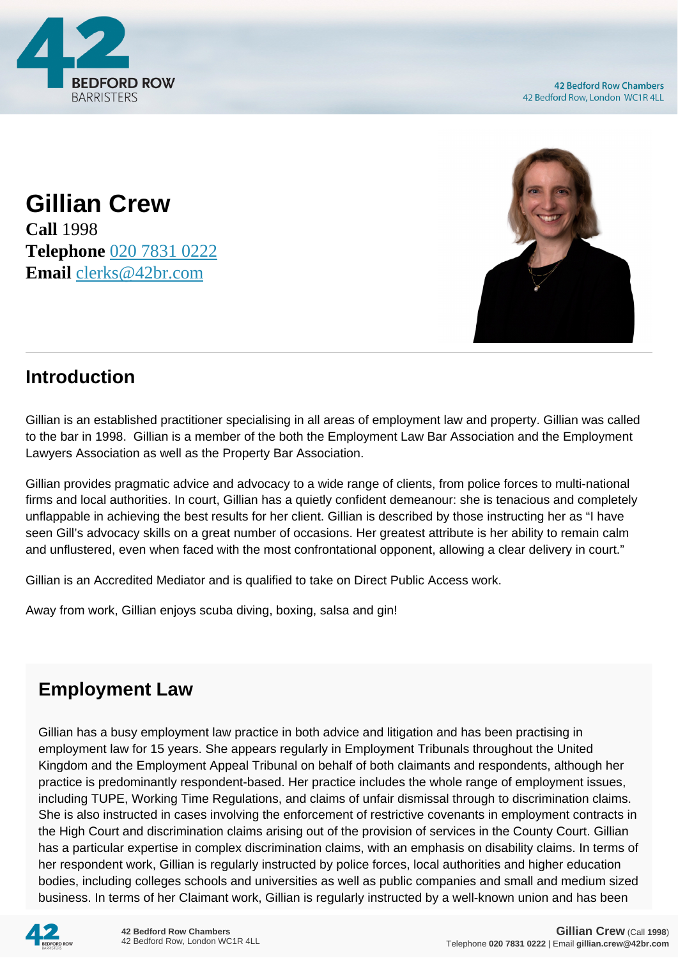

**Gillian Crew Call** 1998 **Telephone** [020 7831 0222](https://pdf.codeshore.co/_42br/tel:020 7831 0222) **Email** [clerks@42br.com](mailto:clerks@42br.com)



## **Introduction**

Gillian is an established practitioner specialising in all areas of employment law and property. Gillian was called to the bar in 1998. Gillian is a member of the both the Employment Law Bar Association and the Employment Lawyers Association as well as the Property Bar Association.

Gillian provides pragmatic advice and advocacy to a wide range of clients, from police forces to multi-national firms and local authorities. In court, Gillian has a quietly confident demeanour: she is tenacious and completely unflappable in achieving the best results for her client. Gillian is described by those instructing her as "I have seen Gill's advocacy skills on a great number of occasions. Her greatest attribute is her ability to remain calm and unflustered, even when faced with the most confrontational opponent, allowing a clear delivery in court."

Gillian is an Accredited Mediator and is qualified to take on Direct Public Access work.

Away from work, Gillian enjoys scuba diving, boxing, salsa and gin!

## **Employment Law**

Gillian has a busy employment law practice in both advice and litigation and has been practising in employment law for 15 years. She appears regularly in Employment Tribunals throughout the United Kingdom and the Employment Appeal Tribunal on behalf of both claimants and respondents, although her practice is predominantly respondent-based. Her practice includes the whole range of employment issues, including TUPE, Working Time Regulations, and claims of unfair dismissal through to discrimination claims. She is also instructed in cases involving the enforcement of restrictive covenants in employment contracts in the High Court and discrimination claims arising out of the provision of services in the County Court. Gillian has a particular expertise in complex discrimination claims, with an emphasis on disability claims. In terms of her respondent work, Gillian is regularly instructed by police forces, local authorities and higher education bodies, including colleges schools and universities as well as public companies and small and medium sized business. In terms of her Claimant work, Gillian is regularly instructed by a well-known union and has been

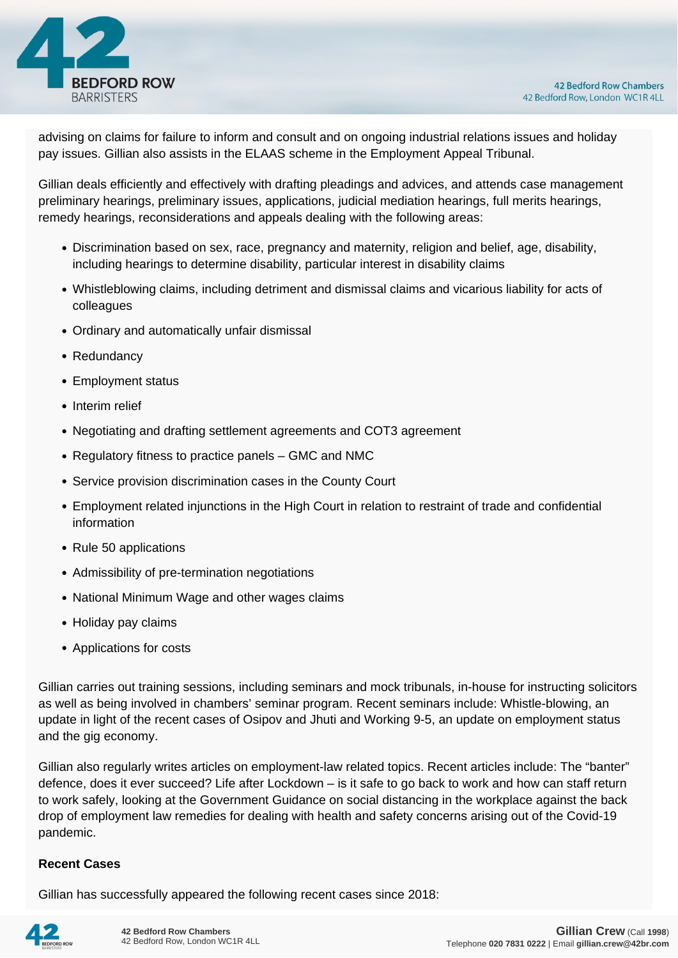

advising on claims for failure to inform and consult and on ongoing industrial relations issues and holiday pay issues. Gillian also assists in the ELAAS scheme in the Employment Appeal Tribunal.

Gillian deals efficiently and effectively with drafting pleadings and advices, and attends case management preliminary hearings, preliminary issues, applications, judicial mediation hearings, full merits hearings, remedy hearings, reconsiderations and appeals dealing with the following areas:

- Discrimination based on sex, race, pregnancy and maternity, religion and belief, age, disability, including hearings to determine disability, particular interest in disability claims
- Whistleblowing claims, including detriment and dismissal claims and vicarious liability for acts of colleagues
- Ordinary and automatically unfair dismissal
- Redundancy
- Employment status
- Interim relief
- Negotiating and drafting settlement agreements and COT3 agreement
- Regulatory fitness to practice panels GMC and NMC
- Service provision discrimination cases in the County Court
- Employment related injunctions in the High Court in relation to restraint of trade and confidential information
- Rule 50 applications
- Admissibility of pre-termination negotiations
- National Minimum Wage and other wages claims
- Holiday pay claims
- Applications for costs

Gillian carries out training sessions, including seminars and mock tribunals, in-house for instructing solicitors as well as being involved in chambers' seminar program. Recent seminars include: Whistle-blowing, an update in light of the recent cases of Osipov and Jhuti and Working 9-5, an update on employment status and the gig economy.

Gillian also regularly writes articles on employment-law related topics. Recent articles include: The "banter" defence, does it ever succeed? Life after Lockdown – is it safe to go back to work and how can staff return to work safely, looking at the Government Guidance on social distancing in the workplace against the back drop of employment law remedies for dealing with health and safety concerns arising out of the Covid-19 pandemic.

## **Recent Cases**

Gillian has successfully appeared the following recent cases since 2018: